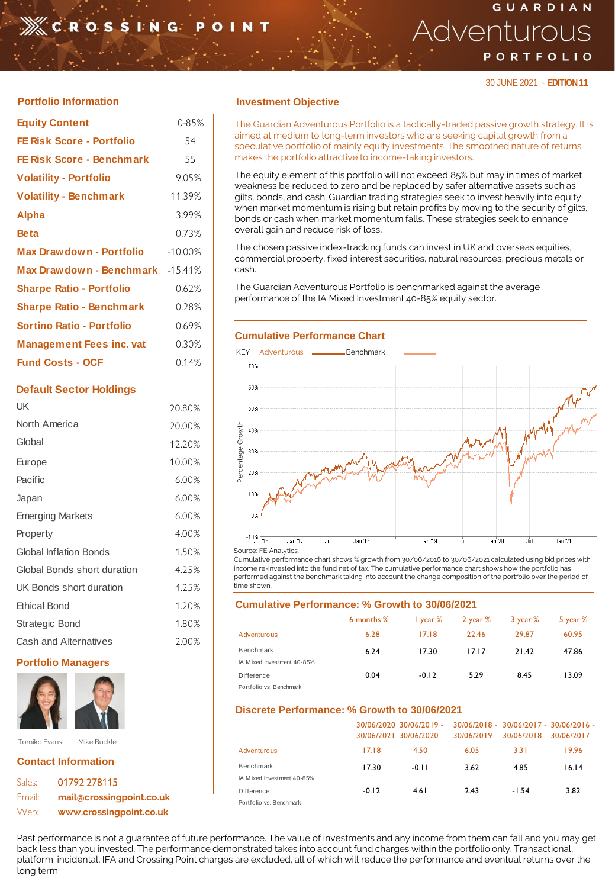# **XCROSSING**

# GUARDIAN Adventurous PORTFOLIO

30 JUNE 2021 - **EDITION 11**

| <b>Equity Content</b>            | 0-85%     |
|----------------------------------|-----------|
| <b>FE Risk Score - Portfolio</b> | 54        |
| <b>FE Risk Score - Benchmark</b> | 55        |
| <b>Volatility - Portfolio</b>    | 9.05%     |
| <b>Volatility - Benchmark</b>    | 11.39%    |
| <b>Alpha</b>                     | 3.99%     |
| <b>Beta</b>                      | 0.73%     |
| Max Drawdown - Portfolio         | $-10.00%$ |
| Max Drawdown - Benchmark -15.41% |           |
| <b>Sharpe Ratio - Portfolio</b>  | 0.62%     |
| <b>Sharpe Ratio - Benchmark</b>  | 0.28%     |
| Sortino Ratio - Portfolio        | 0.69%     |
| <b>Management Fees inc. vat</b>  | 0.30%     |
| <b>Fund Costs - OCF</b>          | 0.14%     |
|                                  |           |

### **Default Sector Holdings**

| UK                            | 20.80%   |
|-------------------------------|----------|
| North America                 | 20.00%   |
| Global                        | 12.20%   |
| Europe                        | 10.00%   |
| Pacific                       | 6.00%    |
| Japan                         | $6.00\%$ |
| <b>Emerging Markets</b>       | 6.00%    |
| Property                      | 4.00%    |
| <b>Global Inflation Bonds</b> | 1.50%    |
| Global Bonds short duration   | 4.25%    |
| UK Bonds short duration       | 4.25%    |
| <b>Ethical Bond</b>           | 1.20%    |
| Strategic Bond                | 1.80%    |
| Cash and Alternatives         | 2.00%    |

## **Portfolio Managers**



# **Contact Information**

| Sales: | 01792 278115             |
|--------|--------------------------|
| Email: | mail@crossingpoint.co.uk |
| Web:   | www.crossingpoint.co.uk  |

## **Portfolio Information Investment Objective**

The Guardian Adventurous Portfolio is a tactically-traded passive growth strategy. It is aimed at medium to long-term investors who are seeking capital growth from a speculative portfolio of mainly equity investments. The smoothed nature of returns makes the portfolio attractive to income-taking investors.

The equity element of this portfolio will not exceed 85% but may in times of market weakness be reduced to zero and be replaced by safer alternative assets such as gilts, bonds, and cash. Guardian trading strategies seek to invest heavily into equity when market momentum is rising but retain profits by moving to the security of gilts, bonds or cash when market momentum falls. These strategies seek to enhance overall gain and reduce risk of loss.

The chosen passive index-tracking funds can invest in UK and overseas equities, commercial property, fixed interest securities, natural resources, precious metals or cash.

The Guardian Adventurous Portfolio is benchmarked against the average performance of the IA Mixed Investment 40-85% equity sector.

#### **Cumulative Performance Chart**



Cumulative performance chart shows % growth from 30/06/2016 to 30/06/2021 calculated using bid prices with income re-invested into the fund net of tax. The cumulative performance chart shows how the portfolio has performed against the benchmark taking into account the change composition of the portfolio over the period of time shown.

#### **Cumulative Performance: % Growth to 30/06/2021**

|                            | 6 months % | $\frac{1}{2}$ year % | 2 year % | 3 year % | 5 year $%$ |
|----------------------------|------------|----------------------|----------|----------|------------|
| Adventurous                | 6.28       | 17.18                | 22.46    | 29.87    | 60.95      |
| <b>Benchmark</b>           | 6.24       | 17.30                | 17.17    | 21.42    | 47.86      |
| IA Mixed Investment 40-85% |            |                      |          |          |            |
| <b>Difference</b>          | 0.04       | $-0.12$              | 5.29     | 8.45     | 13.09      |
| Portfolio vs. Benchmark    |            |                      |          |          |            |

### **Discrete Performance: % Growth to 30/06/2021**

|                            |         | 30/06/2020 30/06/2019 -<br>30/06/2021 30/06/2020 | 30/06/2019 | 30/06/2018 | 30/06/2018 - 30/06/2017 - 30/06/2016 -<br>30/06/2017 |
|----------------------------|---------|--------------------------------------------------|------------|------------|------------------------------------------------------|
| Adventurous                | 17.18   | 4.50                                             | 6.05       | 3.31       | 19.96                                                |
| <b>Benchmark</b>           | 17.30   | $-0.11$                                          | 3.62       | 4.85       | 16.14                                                |
| IA Mixed Investment 40-85% |         |                                                  |            |            |                                                      |
| Difference                 | $-0.12$ | 4.61                                             | 2.43       | -1.54      | 3.82                                                 |
| Portfolio vs. Benchmark    |         |                                                  |            |            |                                                      |

Past performance is not a guarantee of future performance. The value of investments and any income from them can fall and you may get back less than you invested. The performance demonstrated takes into account fund charges within the portfolio only. Transactional, platform, incidental, IFA and Crossing Point charges are excluded, all of which will reduce the performance and eventual returns over the long term.